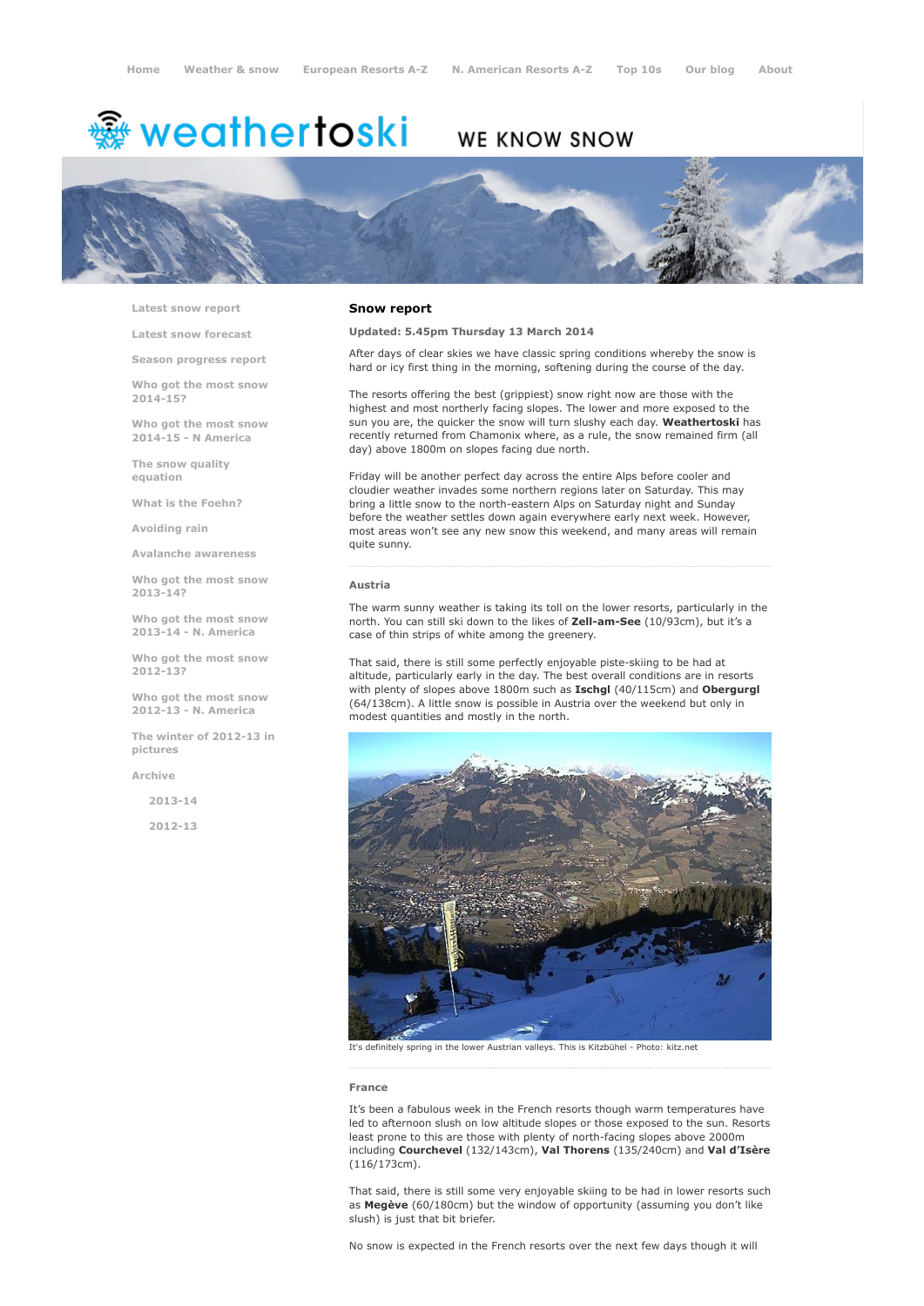# <del>鑾</del> weathertoski

# WE KNOW SNOW



Latest snow [report](http://www.weathertoski.co.uk/weather-snow/latest-snow-report/)

Latest snow [forecast](http://www.weathertoski.co.uk/weather-snow/latest-snow-forecast/)

Season [progress](http://www.weathertoski.co.uk/weather-snow/season-progress-report/) report

Who got the most snow 2014-15?

Who got the most snow 2014-15 - N America

The snow quality [equation](http://www.weathertoski.co.uk/weather-snow/the-snow-quality-equation/)

What is the [Foehn?](http://www.weathertoski.co.uk/weather-snow/what-is-the-foehn/)

[Avoiding](http://www.weathertoski.co.uk/weather-snow/avoiding-rain/) rain

Avalanche [awareness](http://www.weathertoski.co.uk/weather-snow/avalanche-awareness/)

Who got the most snow 2013-14?

Who got the most snow 2013-14 - N. America

Who got the most snow 2012-13?

Who got the most snow 2012-13 - N. America

The winter of 2012-13 in pictures

[Archive](http://www.weathertoski.co.uk/weather-snow/archive/)

2013-14

2012-13

#### Snow report

#### Updated: 5.45pm Thursday 13 March 2014

After days of clear skies we have classic spring conditions whereby the snow is hard or icy first thing in the morning, softening during the course of the day.

The resorts offering the best (grippiest) snow right now are those with the highest and most northerly facing slopes. The lower and more exposed to the sun you are, the quicker the snow will turn slushy each day. Weathertoski has recently returned from Chamonix where, as a rule, the snow remained firm (all day) above 1800m on slopes facing due north.

Friday will be another perfect day across the entire Alps before cooler and cloudier weather invades some northern regions later on Saturday. This may bring a little snow to the north-eastern Alps on Saturday night and Sunday before the weather settles down again everywhere early next week. However, most areas won't see any new snow this weekend, and many areas will remain quite sunny.

#### Austria

The warm sunny weather is taking its toll on the lower resorts, particularly in the north. You can still ski down to the likes of Zell-am-See (10/93cm), but it's a case of thin strips of white among the greenery.

That said, there is still some perfectly enjoyable piste-skiing to be had at altitude, particularly early in the day. The best overall conditions are in resorts with plenty of slopes above 1800m such as Ischgl (40/115cm) and Obergurgl (64/138cm). A little snow is possible in Austria over the weekend but only in modest quantities and mostly in the north.



It's definitely spring in the lower Austrian valleys. This is Kitzbühel - Photo: kitz.net

#### France

It's been a fabulous week in the French resorts though warm temperatures have led to afternoon slush on low altitude slopes or those exposed to the sun. Resorts least prone to this are those with plenty of north-facing slopes above 2000m including Courchevel (132/143cm), Val Thorens (135/240cm) and Val d'Isère (116/173cm).

That said, there is still some very enjoyable skiing to be had in lower resorts such as Megève (60/180cm) but the window of opportunity (assuming you don't like slush) is just that bit briefer.

No snow is expected in the French resorts over the next few days though it will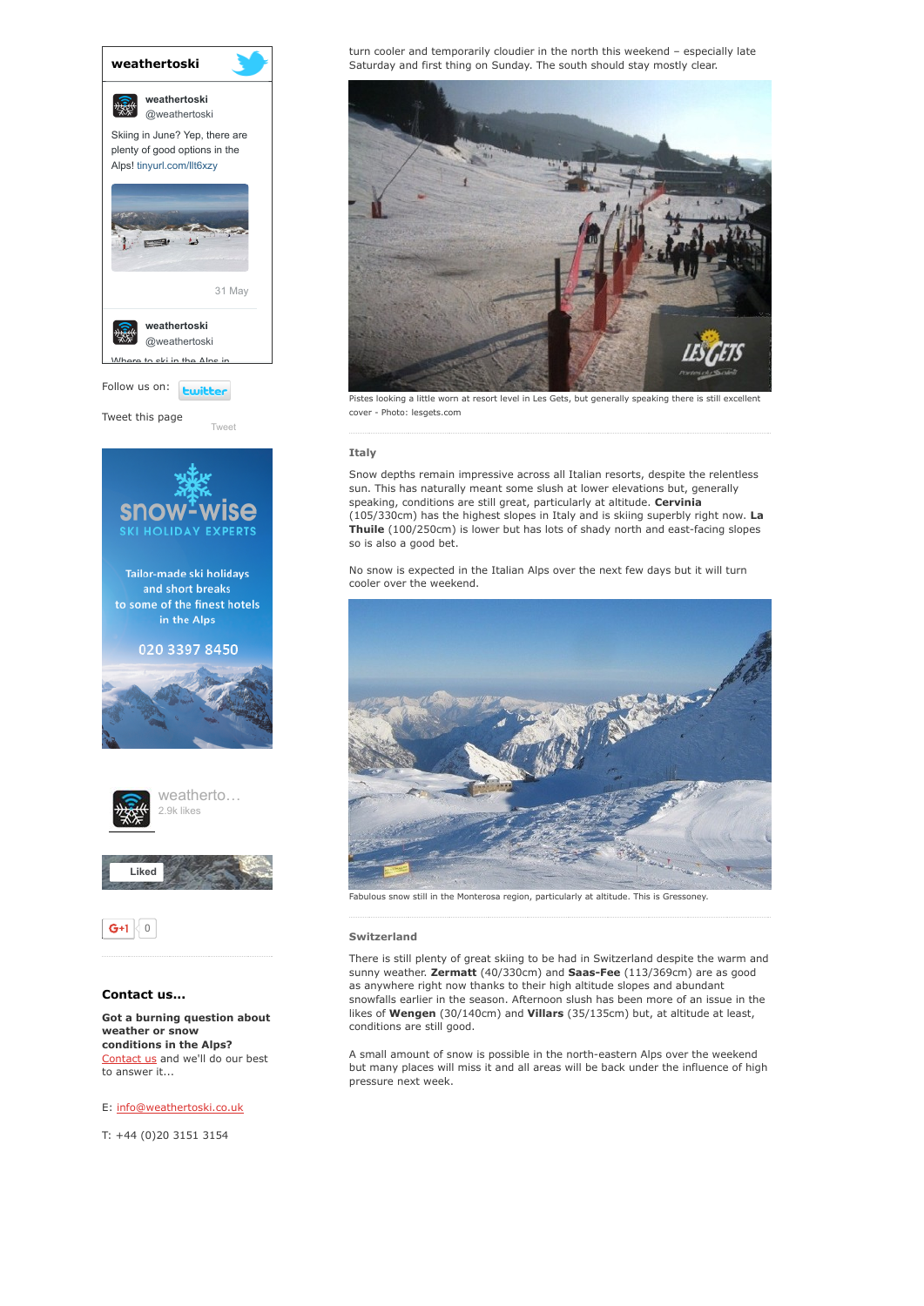

Tweet this page

[Tweet](https://twitter.com/intent/tweet?original_referer=http%3A%2F%2Fwww.weathertoski.co.uk%2Fweather-snow%2Farchive%2Fsnow-report-13-03-2014%2F&ref_src=twsrc%5Etfw&text=Weather%20to%20ski%20-%20snow%20report%20-%2013%20March%202014&tw_p=tweetbutton&url=http%3A%2F%2Fwww.weathertoski.co.uk%2Fweather-snow%2Farchive%2Fsnow-report-13-03-2014%2F)





### Contact us...

Got a burning question about weather or snow conditions in the Alps? [Contact](http://www.weathertoski.co.uk/about-1/contact-us/) us and we'll do our best to answer it...

#### E: [info@weathertoski.co.uk](mailto:fraser@weathertoski.co.uk)

T: +44 (0)20 3151 3154

turn cooler and temporarily cloudier in the north this weekend – especially late Saturday and first thing on Sunday. The south should stay mostly clear.



Pistes looking a little worn at resort level in Les Gets, but generally speaking there is still excellent cover - Photo: lesgets.com

#### Italy

Snow depths remain impressive across all Italian resorts, despite the relentless sun. This has naturally meant some slush at lower elevations but, generally speaking, conditions are still great, particularly at altitude. Cervinia (105/330cm) has the highest slopes in Italy and is skiing superbly right now. La Thuile (100/250cm) is lower but has lots of shady north and east-facing slopes so is also a good bet.

No snow is expected in the Italian Alps over the next few days but it will turn cooler over the weekend.



## Switzerland

There is still plenty of great skiing to be had in Switzerland despite the warm and sunny weather. Zermatt (40/330cm) and Saas-Fee (113/369cm) are as good as anywhere right now thanks to their high altitude slopes and abundant snowfalls earlier in the season. Afternoon slush has been more of an issue in the likes of Wengen (30/140cm) and Villars (35/135cm) but, at altitude at least, conditions are still good.

A small amount of snow is possible in the north-eastern Alps over the weekend but many places will miss it and all areas will be back under the influence of high pressure next week.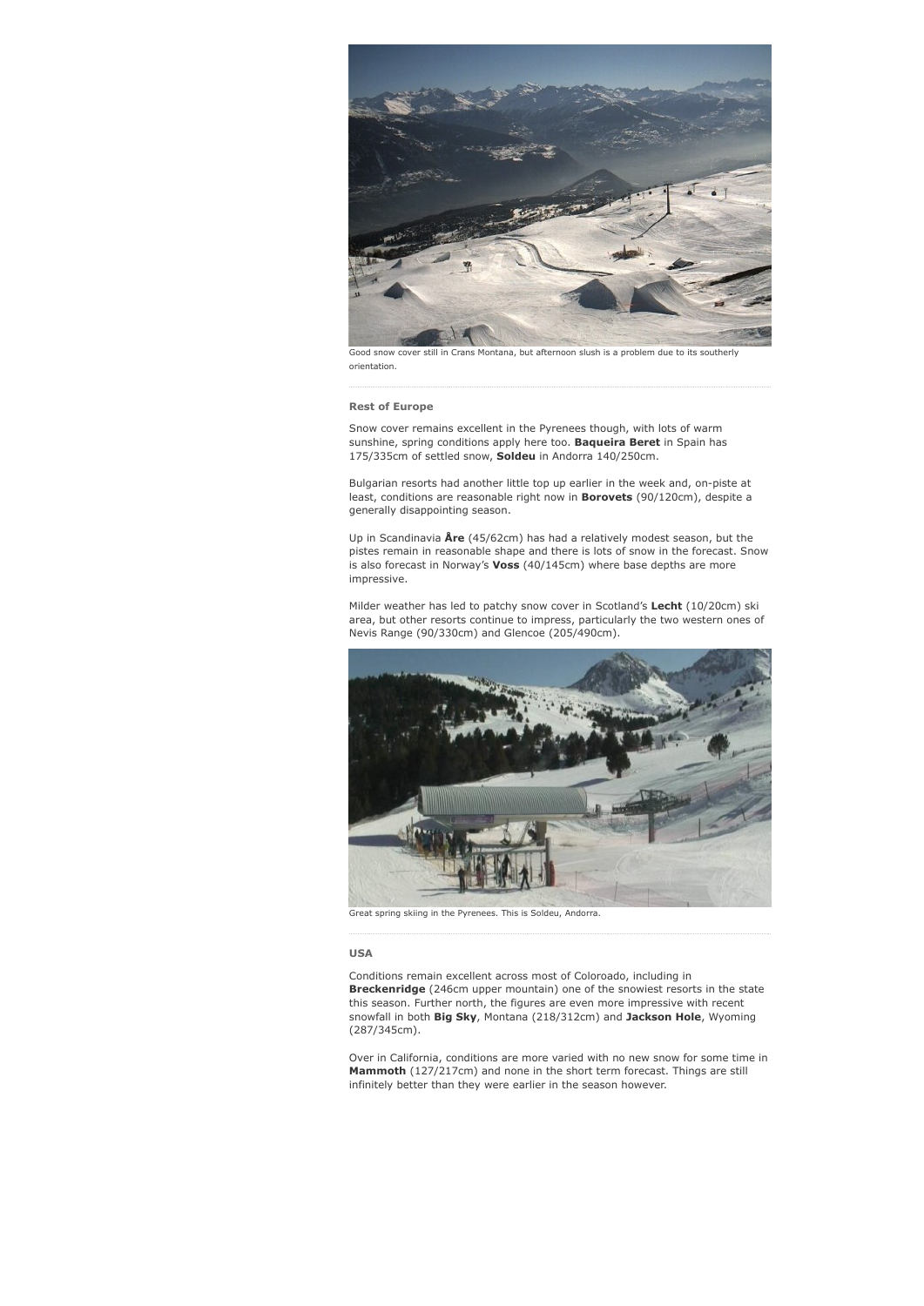

Good snow cover still in Crans Montana, but afternoon slush is a problem due to its southerly orientation.

#### Rest of Europe

Snow cover remains excellent in the Pyrenees though, with lots of warm sunshine, spring conditions apply here too. **Baqueira Beret** in Spain has 175/335cm of settled snow, Soldeu in Andorra 140/250cm.

Bulgarian resorts had another little top up earlier in the week and, on-piste at least, conditions are reasonable right now in Borovets (90/120cm), despite a generally disappointing season.

Up in Scandinavia  $\text{Are } (45/62 \text{cm})$  has had a relatively modest season, but the pistes remain in reasonable shape and there is lots of snow in the forecast. Snow is also forecast in Norway's Voss (40/145cm) where base depths are more impressive.

Milder weather has led to patchy snow cover in Scotland's Lecht (10/20cm) ski area, but other resorts continue to impress, particularly the two western ones of Nevis Range (90/330cm) and Glencoe (205/490cm).



Great spring skiing in the Pyrenees. This is Soldeu, Andorra.

#### USA

Conditions remain excellent across most of Coloroado, including in Breckenridge (246cm upper mountain) one of the snowiest resorts in the state this season. Further north, the figures are even more impressive with recent snowfall in both Big Sky, Montana (218/312cm) and Jackson Hole, Wyoming (287/345cm).

Over in California, conditions are more varied with no new snow for some time in Mammoth (127/217cm) and none in the short term forecast. Things are still infinitely better than they were earlier in the season however.